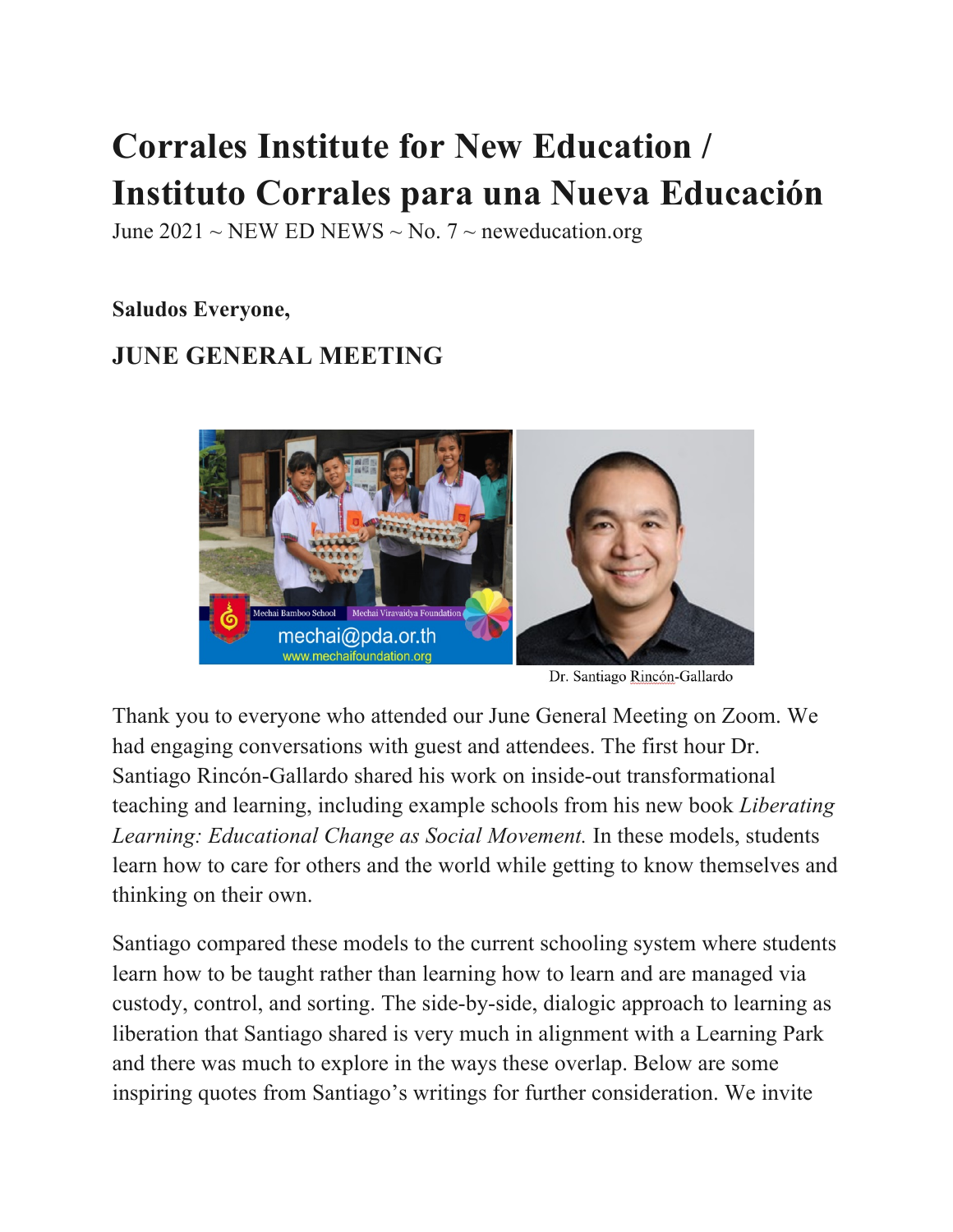# **Corrales Institute for New Education / Instituto Corrales para una Nueva Educación**

June 2021 ~ NEW ED NEWS ~ No. 7 ~ neweducation.org

**Saludos Everyone,**

# **JUNE GENERAL MEETING**



Dr. Santiago Rincón-Gallardo

Thank you to everyone who attended our June General Meeting on Zoom. We had engaging conversations with guest and attendees. The first hour Dr. Santiago Rincón-Gallardo shared his work on inside-out transformational teaching and learning, including example schools from his new book *Liberating Learning: Educational Change as Social Movement.* In these models, students learn how to care for others and the world while getting to know themselves and thinking on their own.

Santiago compared these models to the current schooling system where students learn how to be taught rather than learning how to learn and are managed via custody, control, and sorting. The side-by-side, dialogic approach to learning as liberation that Santiago shared is very much in alignment with a Learning Park and there was much to explore in the ways these overlap. Below are some inspiring quotes from Santiago's writings for further consideration. We invite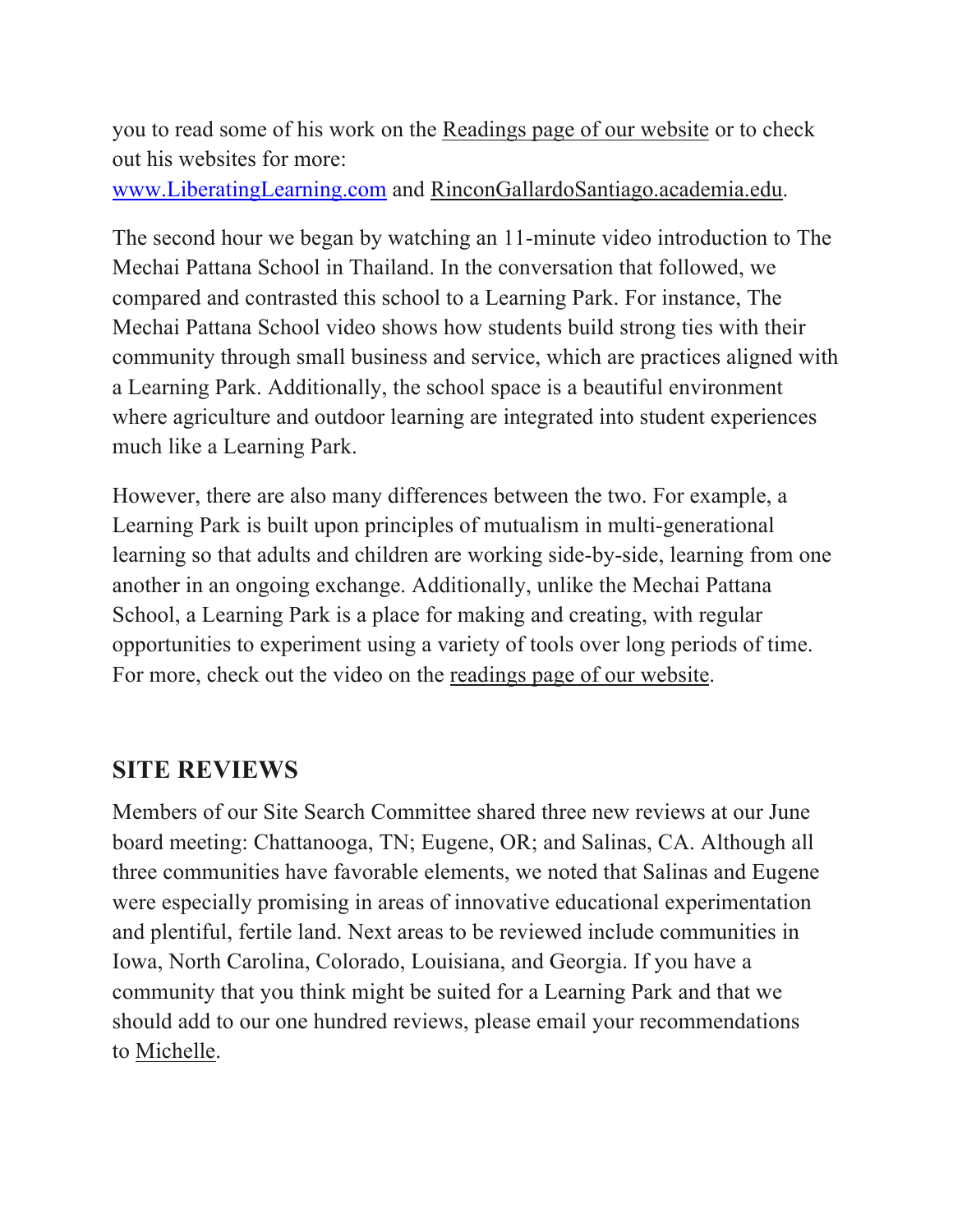you to read some of his work on the Readings page of our website or to check out his websites for more:

www.LiberatingLearning.com and RinconGallardoSantiago.academia.edu.

The second hour we began by watching an 11-minute video introduction to The Mechai Pattana School in Thailand. In the conversation that followed, we compared and contrasted this school to a Learning Park. For instance, The Mechai Pattana School video shows how students build strong ties with their community through small business and service, which are practices aligned with a Learning Park. Additionally, the school space is a beautiful environment where agriculture and outdoor learning are integrated into student experiences much like a Learning Park.

However, there are also many differences between the two. For example, a Learning Park is built upon principles of mutualism in multi-generational learning so that adults and children are working side-by-side, learning from one another in an ongoing exchange. Additionally, unlike the Mechai Pattana School, a Learning Park is a place for making and creating, with regular opportunities to experiment using a variety of tools over long periods of time. For more, check out the video on the readings page of our website.

### **SITE REVIEWS**

Members of our Site Search Committee shared three new reviews at our June board meeting: Chattanooga, TN; Eugene, OR; and Salinas, CA. Although all three communities have favorable elements, we noted that Salinas and Eugene were especially promising in areas of innovative educational experimentation and plentiful, fertile land. Next areas to be reviewed include communities in Iowa, North Carolina, Colorado, Louisiana, and Georgia. If you have a community that you think might be suited for a Learning Park and that we should add to our one hundred reviews, please email your recommendations to Michelle.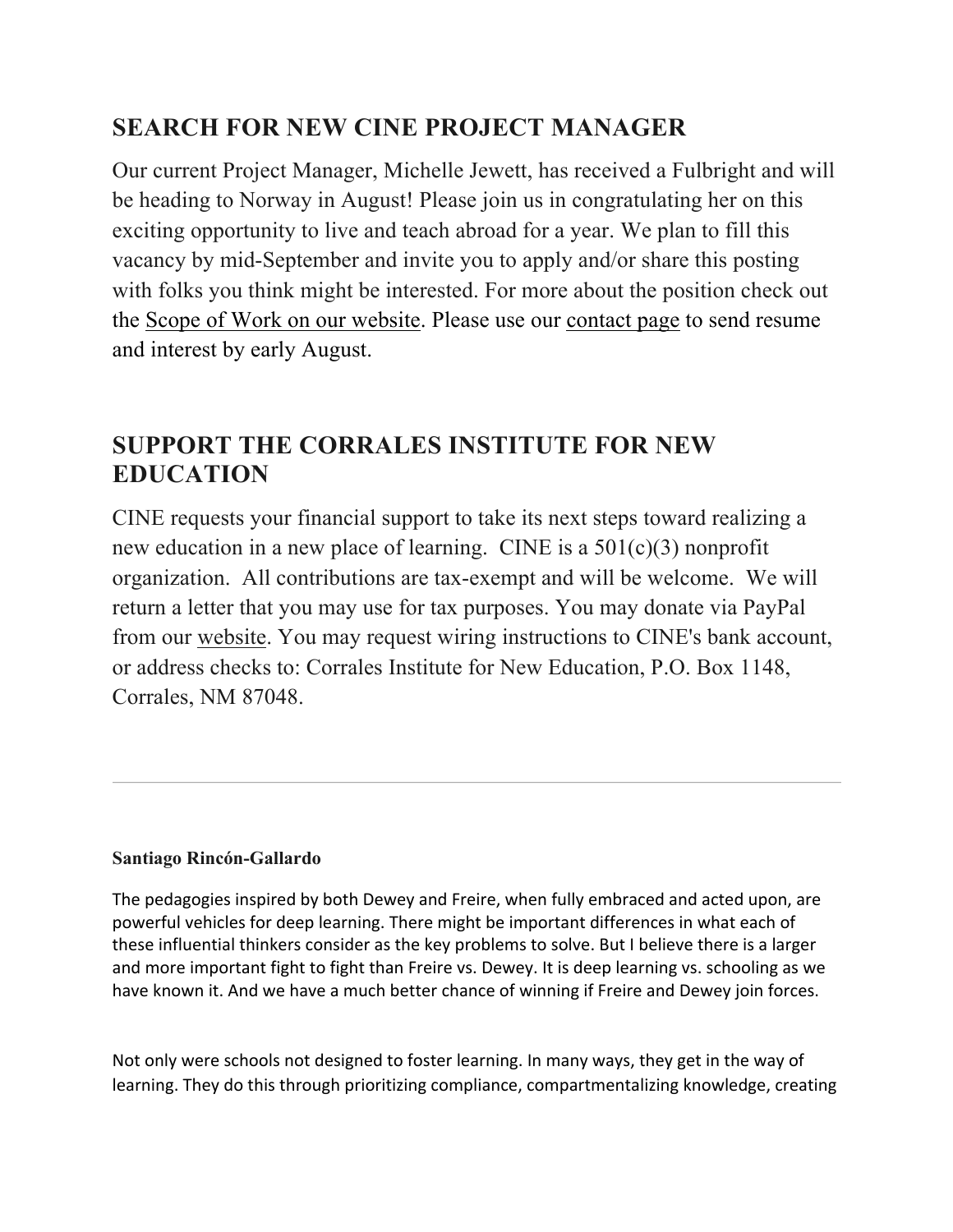## **SEARCH FOR NEW CINE PROJECT MANAGER**

Our current Project Manager, Michelle Jewett, has received a Fulbright and will be heading to Norway in August! Please join us in congratulating her on this exciting opportunity to live and teach abroad for a year. We plan to fill this vacancy by mid-September and invite you to apply and/or share this posting with folks you think might be interested. For more about the position check out the Scope of Work on our website. Please use our contact page to send resume and interest by early August.

### **SUPPORT THE CORRALES INSTITUTE FOR NEW EDUCATION**

CINE requests your financial support to take its next steps toward realizing a new education in a new place of learning. CINE is a 501(c)(3) nonprofit organization. All contributions are tax-exempt and will be welcome. We will return a letter that you may use for tax purposes. You may donate via PayPal from our website. You may request wiring instructions to CINE's bank account, or address checks to: Corrales Institute for New Education, P.O. Box 1148, Corrales, NM 87048.

#### **Santiago Rincón-Gallardo**

The pedagogies inspired by both Dewey and Freire, when fully embraced and acted upon, are powerful vehicles for deep learning. There might be important differences in what each of these influential thinkers consider as the key problems to solve. But I believe there is a larger and more important fight to fight than Freire vs. Dewey. It is deep learning vs. schooling as we have known it. And we have a much better chance of winning if Freire and Dewey join forces.

Not only were schools not designed to foster learning. In many ways, they get in the way of learning. They do this through prioritizing compliance, compartmentalizing knowledge, creating